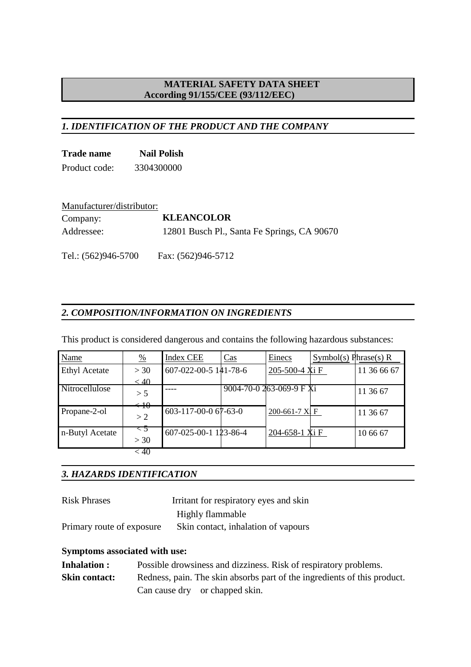## *1. IDENTIFICATION OF THE PRODUCT AND THE COMPANY*

| <b>Trade name</b> | <b>Nail Polish</b> |
|-------------------|--------------------|
| Product code:     | 3304300000         |

| Manufacturer/distributor: |                                             |
|---------------------------|---------------------------------------------|
| Company:                  | <b>KLEANCOLOR</b>                           |
| Addressee:                | 12801 Busch Pl., Santa Fe Springs, CA 90670 |

## *2. COMPOSITION/INFORMATION ON INGREDIENTS*

Tel.: (562)946-5700 Fax: (562)946-5712

This product is considered dangerous and contains the following hazardous substances:

| Name                 | $\frac{0}{0}$     | <b>Index CEE</b>      | Cas | Einecs                     | Symbol(s) Phrase(s) $R$ |             |
|----------------------|-------------------|-----------------------|-----|----------------------------|-------------------------|-------------|
| <b>Ethyl Acetate</b> | >30               | 607-022-00-5 141-78-6 |     | 205-500-4 X <sub>i</sub> F |                         | 11 36 66 67 |
|                      | < 40              |                       |     |                            |                         |             |
| Nitrocellulose       | > 5               |                       |     | 9004-70-0 263-069-9 F Xi   |                         | 11 36 67    |
|                      | $\leftrightarrow$ |                       |     |                            |                         |             |
| Propane-2-ol         | >2                | 603-117-00-0 67-63-0  |     | 200-661-7 XI F             |                         | 11 36 67    |
| n-Butyl Acetate      | $\leq$ 5<br>>30   | 607-025-00-1 123-86-4 |     | 204-658-1 X <sub>i</sub> F |                         | 10 66 67    |
|                      | < 40              |                       |     |                            |                         |             |

#### *3. HAZARDS IDENTIFICATION*

| <b>Risk Phrases</b>       | Irritant for respiratory eyes and skin |
|---------------------------|----------------------------------------|
|                           | Highly flammable                       |
| Primary route of exposure | Skin contact, inhalation of vapours    |

#### **Symptoms associated with use:**

| <b>Inhalation:</b>   | Possible drowsiness and dizziness. Risk of respiratory problems.         |
|----------------------|--------------------------------------------------------------------------|
| <b>Skin contact:</b> | Redness, pain. The skin absorbs part of the ingredients of this product. |
|                      | Can cause dry or chapped skin.                                           |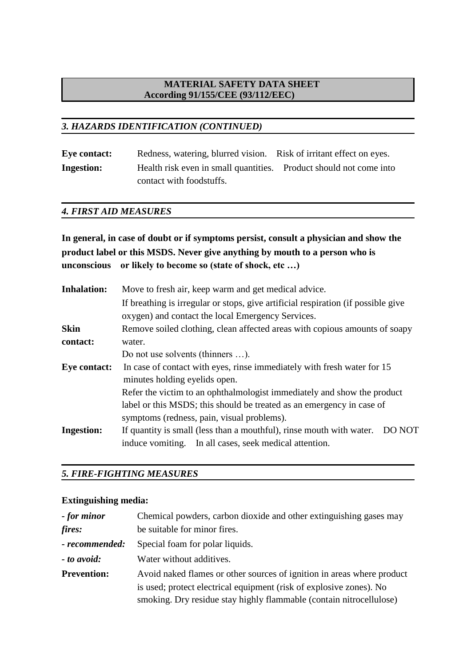## *3. HAZARDS IDENTIFICATION (CONTINUED)*

| <b>Eye contact:</b> | Redness, watering, blurred vision. Risk of irritant effect on eyes. |  |
|---------------------|---------------------------------------------------------------------|--|
| <b>Ingestion:</b>   | Health risk even in small quantities. Product should not come into  |  |
|                     | contact with foodstuffs.                                            |  |

#### *4. FIRST AID MEASURES*

## **In general, in case of doubt or if symptoms persist, consult a physician and show the product label or this MSDS. Never give anything by mouth to a person who is unconscious or likely to become so (state of shock, etc …)**

| <b>Inhalation:</b>  | Move to fresh air, keep warm and get medical advice.                                                                                     |
|---------------------|------------------------------------------------------------------------------------------------------------------------------------------|
|                     | If breathing is irregular or stops, give artificial respiration (if possible give                                                        |
|                     | oxygen) and contact the local Emergency Services.                                                                                        |
| <b>Skin</b>         | Remove soiled clothing, clean affected areas with copious amounts of soapy                                                               |
| contact:            | water.                                                                                                                                   |
|                     | Do not use solvents (thinners ).                                                                                                         |
| <b>Eye contact:</b> | In case of contact with eyes, rinse immediately with fresh water for 15<br>minutes holding eyelids open.                                 |
|                     | Refer the victim to an ophthalmologist immediately and show the product                                                                  |
|                     | label or this MSDS; this should be treated as an emergency in case of                                                                    |
|                     | symptoms (redness, pain, visual problems).                                                                                               |
| <b>Ingestion:</b>   | If quantity is small (less than a mouthful), rinse mouth with water.<br>DO NOT<br>induce vomiting. In all cases, seek medical attention. |

#### *5. FIRE-FIGHTING MEASURES*

#### **Extinguishing media:**

| - for minor        | Chemical powders, carbon dioxide and other extinguishing gases may     |
|--------------------|------------------------------------------------------------------------|
| fires:             | be suitable for minor fires.                                           |
| - recommended:     | Special foam for polar liquids.                                        |
| <i>to avoid:</i>   | Water without additives.                                               |
| <b>Prevention:</b> | Avoid naked flames or other sources of ignition in areas where product |
|                    | is used; protect electrical equipment (risk of explosive zones). No    |
|                    | smoking. Dry residue stay highly flammable (contain nitrocellulose)    |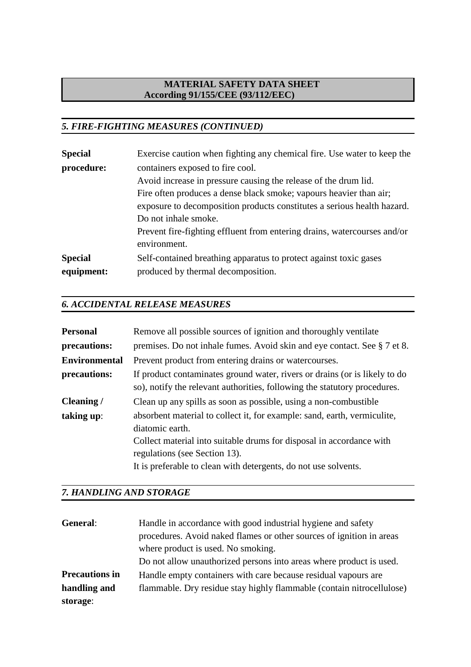# *5. FIRE-FIGHTING MEASURES (CONTINUED)*

| <b>Special</b> | Exercise caution when fighting any chemical fire. Use water to keep the  |
|----------------|--------------------------------------------------------------------------|
| procedure:     | containers exposed to fire cool.                                         |
|                | Avoid increase in pressure causing the release of the drum lid.          |
|                | Fire often produces a dense black smoke; vapours heavier than air;       |
|                | exposure to decomposition products constitutes a serious health hazard.  |
|                | Do not inhale smoke.                                                     |
|                | Prevent fire-fighting effluent from entering drains, watercourses and/or |
|                | environment.                                                             |
| <b>Special</b> | Self-contained breathing apparatus to protect against toxic gases        |
| equipment:     | produced by thermal decomposition.                                       |

## *6. ACCIDENTAL RELEASE MEASURES*

| <b>Personal</b>      | Remove all possible sources of ignition and thoroughly ventilate                                                                                                                                                                                                        |
|----------------------|-------------------------------------------------------------------------------------------------------------------------------------------------------------------------------------------------------------------------------------------------------------------------|
| precautions:         | premises. Do not inhale fumes. Avoid skin and eye contact. See § 7 et 8.                                                                                                                                                                                                |
| <b>Environmental</b> | Prevent product from entering drains or watercourses.                                                                                                                                                                                                                   |
| precautions:         | If product contaminates ground water, rivers or drains (or is likely to do<br>so), notify the relevant authorities, following the statutory procedures.                                                                                                                 |
| Cleaning /           | Clean up any spills as soon as possible, using a non-combustible                                                                                                                                                                                                        |
| taking up:           | absorbent material to collect it, for example: sand, earth, vermiculite,<br>diatomic earth.<br>Collect material into suitable drums for disposal in accordance with<br>regulations (see Section 13).<br>It is preferable to clean with detergents, do not use solvents. |

#### *7. HANDLING AND STORAGE*

| General:              | Handle in accordance with good industrial hygiene and safety          |
|-----------------------|-----------------------------------------------------------------------|
|                       | procedures. Avoid naked flames or other sources of ignition in areas  |
|                       | where product is used. No smoking.                                    |
|                       | Do not allow unauthorized persons into areas where product is used.   |
| <b>Precautions in</b> | Handle empty containers with care because residual vapours are        |
| handling and          | flammable. Dry residue stay highly flammable (contain nitrocellulose) |
| storage:              |                                                                       |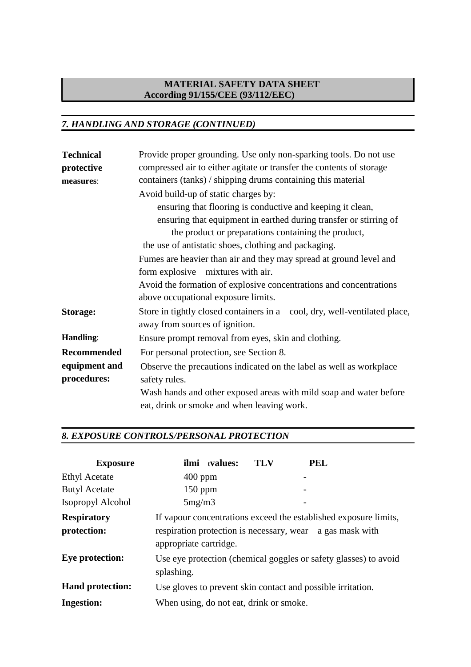## *7. HANDLING AND STORAGE (CONTINUED)*

| <b>Technical</b>   | Provide proper grounding. Use only non-sparking tools. Do not use                                           |
|--------------------|-------------------------------------------------------------------------------------------------------------|
| protective         | compressed air to either agitate or transfer the contents of storage                                        |
| measures:          | containers (tanks) / shipping drums containing this material                                                |
|                    | Avoid build-up of static charges by:                                                                        |
|                    | ensuring that flooring is conductive and keeping it clean,                                                  |
|                    | ensuring that equipment in earthed during transfer or stirring of                                           |
|                    | the product or preparations containing the product,                                                         |
|                    | the use of antistatic shoes, clothing and packaging.                                                        |
|                    | Fumes are heavier than air and they may spread at ground level and                                          |
|                    | form explosive mixtures with air.                                                                           |
|                    | Avoid the formation of explosive concentrations and concentrations                                          |
|                    | above occupational exposure limits.                                                                         |
| <b>Storage:</b>    | Store in tightly closed containers in a cool, dry, well-ventilated place,<br>away from sources of ignition. |
| Handling:          | Ensure prompt removal from eyes, skin and clothing.                                                         |
| <b>Recommended</b> | For personal protection, see Section 8.                                                                     |
| equipment and      | Observe the precautions indicated on the label as well as workplace                                         |
| procedures:        | safety rules.                                                                                               |
|                    | Wash hands and other exposed areas with mild soap and water before                                          |
|                    | eat, drink or smoke and when leaving work.                                                                  |

## *8. EXPOSURE CONTROLS/PERSONAL PROTECTION*

| <b>Exposure</b>                   |                                                                                                                                                         | ilmi tvalues: | TLV | <b>PEL</b> |
|-----------------------------------|---------------------------------------------------------------------------------------------------------------------------------------------------------|---------------|-----|------------|
| <b>Ethyl Acetate</b>              | $400$ ppm                                                                                                                                               |               |     |            |
| <b>Butyl Acetate</b>              | $150$ ppm                                                                                                                                               |               |     |            |
| Isopropyl Alcohol                 | 5mg/m3                                                                                                                                                  |               |     |            |
| <b>Respiratory</b><br>protection: | If vapour concentrations exceed the established exposure limits,<br>respiration protection is necessary, wear a gas mask with<br>appropriate cartridge. |               |     |            |
| Eye protection:                   | Use eye protection (chemical goggles or safety glasses) to avoid<br>splashing.                                                                          |               |     |            |
| <b>Hand protection:</b>           | Use gloves to prevent skin contact and possible irritation.                                                                                             |               |     |            |
| <b>Ingestion:</b>                 | When using, do not eat, drink or smoke.                                                                                                                 |               |     |            |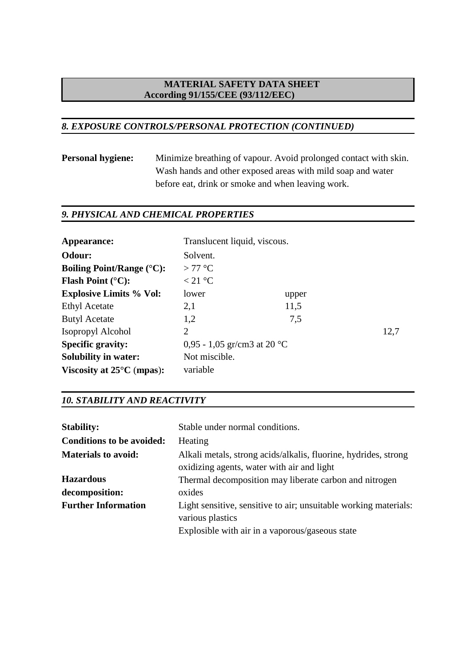#### *8. EXPOSURE CONTROLS/PERSONAL PROTECTION (CONTINUED)*

**Personal hygiene:** Minimize breathing of vapour. Avoid prolonged contact with skin. Wash hands and other exposed areas with mild soap and water before eat, drink or smoke and when leaving work.

## *9. PHYSICAL AND CHEMICAL PROPERTIES*

| Appearance:                         | Translucent liquid, viscous. |       |      |
|-------------------------------------|------------------------------|-------|------|
| Odour:                              | Solvent.                     |       |      |
| Boiling Point/Range $(^{\circ}C)$ : | $>77^{\circ}$ C              |       |      |
| <b>Flash Point (°C):</b>            | < 21 °C                      |       |      |
| <b>Explosive Limits % Vol:</b>      | lower                        | upper |      |
| <b>Ethyl Acetate</b>                | 2,1                          | 11,5  |      |
| <b>Butyl Acetate</b>                | 1,2                          | 7,5   |      |
| Isopropyl Alcohol                   | 2                            |       | 12,7 |
| <b>Specific gravity:</b>            | 0,95 - 1,05 gr/cm3 at 20 °C  |       |      |
| <b>Solubility in water:</b>         | Not miscible.                |       |      |
| Viscosity at $25^{\circ}$ C (mpas): | variable                     |       |      |

#### *10. STABILITY AND REACTIVITY*

| <b>Stability:</b>                | Stable under normal conditions.                                                                               |
|----------------------------------|---------------------------------------------------------------------------------------------------------------|
| <b>Conditions to be avoided:</b> | Heating                                                                                                       |
| <b>Materials to avoid:</b>       | Alkali metals, strong acids/alkalis, fluorine, hydrides, strong<br>oxidizing agents, water with air and light |
| <b>Hazardous</b>                 | Thermal decomposition may liberate carbon and nitrogen                                                        |
| decomposition:                   | oxides                                                                                                        |
| <b>Further Information</b>       | Light sensitive, sensitive to air; unsuitable working materials:<br>various plastics                          |
|                                  | Explosible with air in a vaporous/gaseous state                                                               |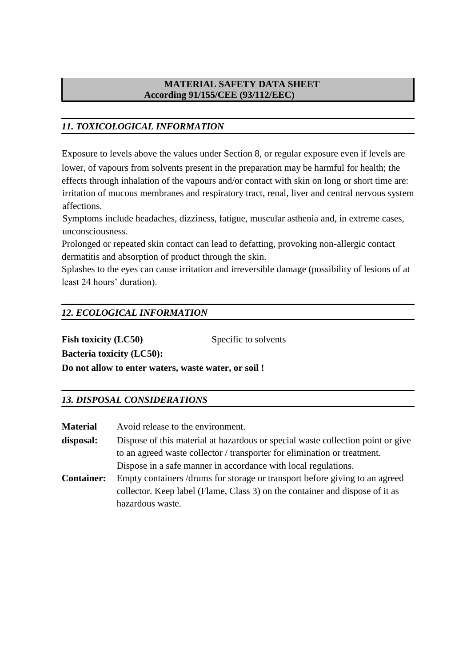## *11. TOXICOLOGICAL INFORMATION*

Exposure to levels above the values under Section 8, or regular exposure even if levels are lower, of vapours from solvents present in the preparation may be harmful for health; the effects through inhalation of the vapours and/or contact with skin on long or short time are: irritation of mucous membranes and respiratory tract, renal, liver and central nervous system affections.

Symptoms include headaches, dizziness, fatigue, muscular asthenia and, in extreme cases, unconsciousness.

Prolonged or repeated skin contact can lead to defatting, provoking non-allergic contact dermatitis and absorption of product through the skin.

Splashes to the eyes can cause irritation and irreversible damage (possibility of lesions of at least 24 hours' duration).

## *12. ECOLOGICAL INFORMATION*

**Fish toxicity (LC50) Bacteria toxicity (LC50):** Specific to solvents **Do not allow to enter waters, waste water, or soil !**

#### *13. DISPOSAL CONSIDERATIONS*

| Material          | Avoid release to the environment.                                               |
|-------------------|---------------------------------------------------------------------------------|
| disposal:         | Dispose of this material at hazardous or special waste collection point or give |
|                   | to an agreed waste collector / transporter for elimination or treatment.        |
|                   | Dispose in a safe manner in accordance with local regulations.                  |
| <b>Container:</b> | Empty containers /drums for storage or transport before giving to an agreed     |
|                   | collector. Keep label (Flame, Class 3) on the container and dispose of it as    |
|                   | hazardous waste.                                                                |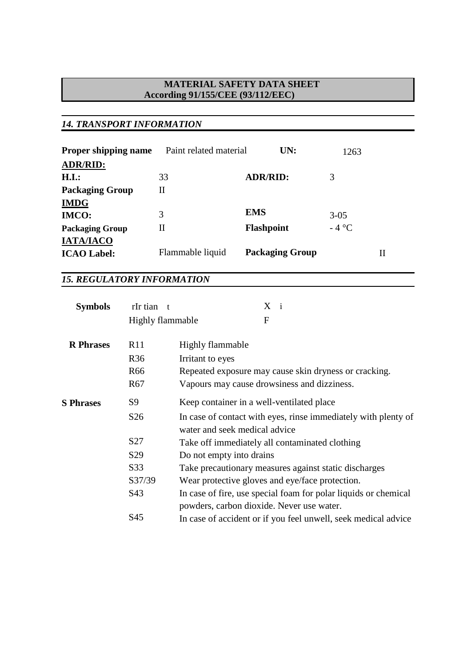## *14. TRANSPORT INFORMATION*

| <b>Proper shipping name</b> | Paint related material | UN:                    | 1263      |
|-----------------------------|------------------------|------------------------|-----------|
| <b>ADR/RID:</b>             |                        |                        |           |
| H.I.:                       | 33                     | <b>ADR/RID:</b>        | 3         |
| <b>Packaging Group</b>      | $_{\rm II}$            |                        |           |
| <b>IMDG</b>                 |                        |                        |           |
| <b>IMCO:</b>                | 3                      | <b>EMS</b>             | $3 - 0.5$ |
| <b>Packaging Group</b>      | Н                      | <b>Flashpoint</b>      | $-4$ °C   |
| <b>IATA/IACO</b>            |                        |                        |           |
| <b>ICAO Label:</b>          | Flammable liquid       | <b>Packaging Group</b> | П         |

# *15. REGULATORY INFORMATION*

| <b>Symbols</b>   | rIr tian t       | $X_i$                                                                                                        |
|------------------|------------------|--------------------------------------------------------------------------------------------------------------|
|                  | Highly flammable | F                                                                                                            |
| <b>R</b> Phrases | R11              | Highly flammable                                                                                             |
|                  | R <sub>36</sub>  | Irritant to eyes                                                                                             |
|                  | R <sub>66</sub>  | Repeated exposure may cause skin dryness or cracking.                                                        |
|                  | R <sub>67</sub>  | Vapours may cause drowsiness and dizziness.                                                                  |
| <b>S</b> Phrases | S9               | Keep container in a well-ventilated place                                                                    |
|                  | S <sub>26</sub>  | In case of contact with eyes, rinse immediately with plenty of<br>water and seek medical advice              |
|                  | S27              | Take off immediately all contaminated clothing                                                               |
|                  | S <sub>29</sub>  | Do not empty into drains                                                                                     |
|                  | S33              | Take precautionary measures against static discharges                                                        |
|                  | S37/39           | Wear protective gloves and eye/face protection.                                                              |
|                  | S43              | In case of fire, use special foam for polar liquids or chemical<br>powders, carbon dioxide. Never use water. |
|                  | S45              | In case of accident or if you feel unwell, seek medical advice                                               |